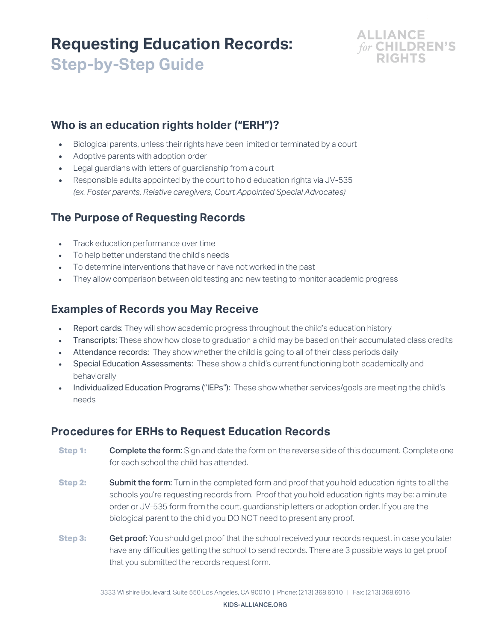# **Requesting Education Records: Step-by-Step Guide**



#### **Who is an education rights holder ("ERH")?**

- Biological parents, unless their rights have been limited or terminated by a court
- Adoptive parents with adoption order
- Legal guardians with letters of guardianship from a court
- Responsible adults appointed by the court to hold education rights via JV-535 *(ex. Foster parents, Relative caregivers, Court Appointed Special Advocates)*

### **The Purpose of Requesting Records**

- Track education performance over time
- To help better understand the child's needs
- To determine interventions that have or have not worked in the past
- They allow comparison between old testing and new testing to monitor academic progress

#### **Examples of Records you May Receive**

- Report cards: They will show academic progress throughout the child's education history
- Transcripts: These show how close to graduation a child may be based on their accumulated class credits
- Attendance records: They show whether the child is going to all of their class periods daily
- Special Education Assessments: These show a child's current functioning both academically and behaviorally
- Individualized Education Programs ("IEPs"): These show whether services/goals are meeting the child's needs

#### **Procedures for ERHs to Request Education Records**

- **Step 1:** Complete the form: Sign and date the form on the reverse side of this document. Complete one for each school the child has attended.
- **Step 2:** Submit the form: Turn in the completed form and proof that you hold education rights to all the schools you're requesting records from. Proof that you hold education rights may be: a minute order or JV-535 form from the court, guardianship letters or adoption order. If you are the biological parent to the child you DO NOT need to present any proof.
- **Step 3: Get proof:** You should get proof that the school received your records request, in case you later have any difficulties getting the school to send records. There are 3 possible ways to get proof that you submitted the records request form.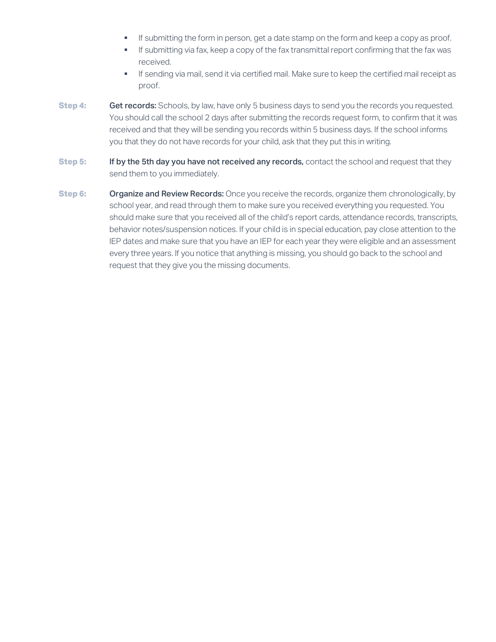- **•** If submitting the form in person, get a date stamp on the form and keep a copy as proof.
- **•** If submitting via fax, keep a copy of the fax transmittal report confirming that the fax was received.
- **•** If sending via mail, send it via certified mail. Make sure to keep the certified mail receipt as proof.
- **Step 4: Get records:** Schools, by law, have only 5 business days to send you the records you requested. You should call the school 2 days after submitting the records request form, to confirm that it was received and that they will be sending you records within 5 business days. If the school informs you that they do not have records for your child, ask that they put this in writing.
- **Step 5:** If by the 5th day you have not received any records, contact the school and request that they send them to you immediately.
- **Step 6: Organize and Review Records:** Once you receive the records, organize them chronologically, by school year, and read through them to make sure you received everything you requested. You should make sure that you received all of the child's report cards, attendance records, transcripts, behavior notes/suspension notices. If your child is in special education, pay close attention to the IEP dates and make sure that you have an IEP for each year they were eligible and an assessment every three years. If you notice that anything is missing, you should go back to the school and request that they give you the missing documents.